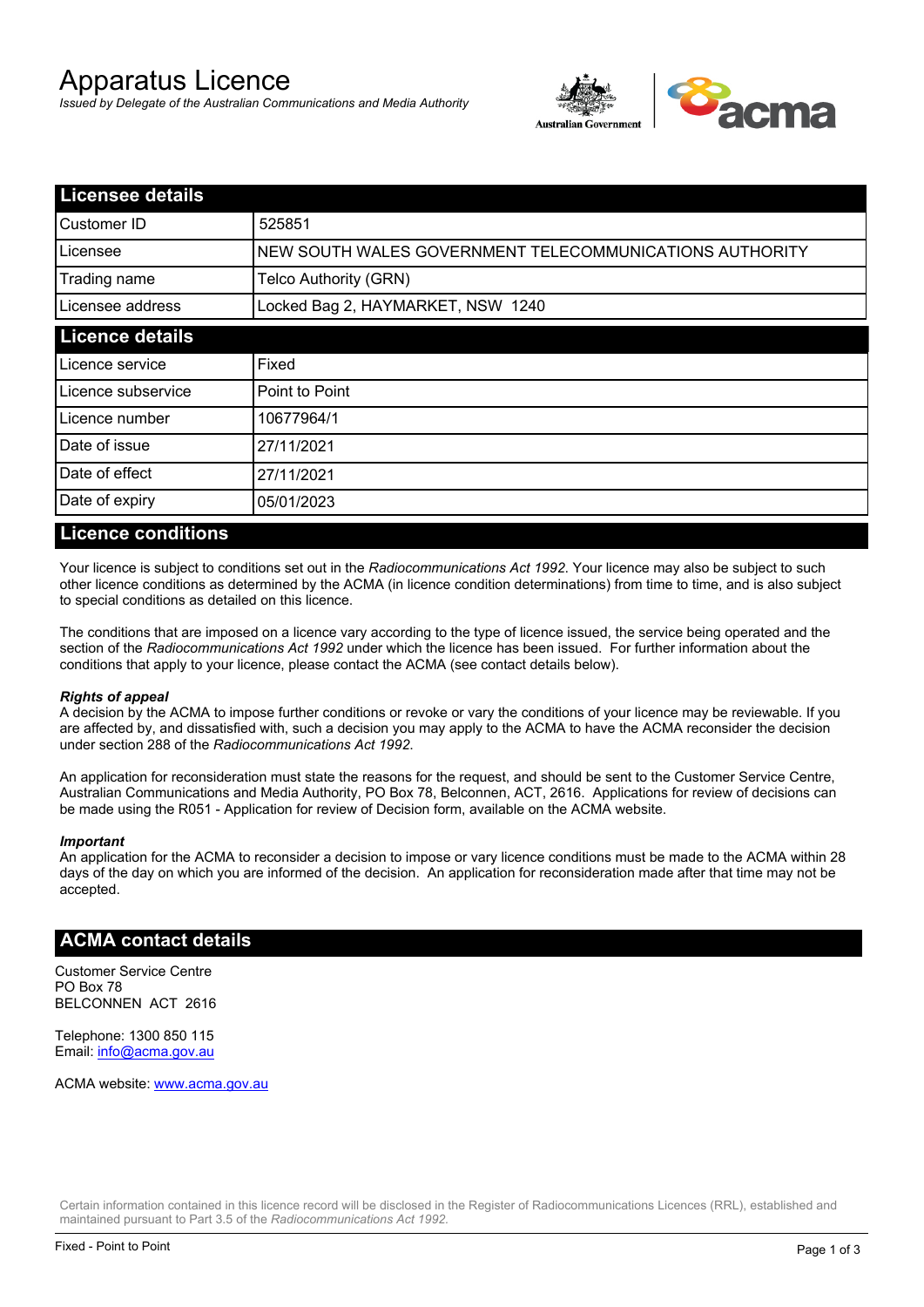# Apparatus Licence

*Issued by Delegate of the Australian Communications and Media Authority*



| <b>Licensee details</b> |                                                         |  |
|-------------------------|---------------------------------------------------------|--|
| <b>Customer ID</b>      | 525851                                                  |  |
| Licensee                | NEW SOUTH WALES GOVERNMENT TELECOMMUNICATIONS AUTHORITY |  |
| Trading name            | Telco Authority (GRN)                                   |  |
| Licensee address        | Locked Bag 2, HAYMARKET, NSW 1240                       |  |
| <b>Licence details</b>  |                                                         |  |
| Licence service         | Fixed                                                   |  |
| Licence subservice      | Point to Point                                          |  |
| Licence number          | 10677964/1                                              |  |
| Date of issue           | 27/11/2021                                              |  |
| Date of effect          | 27/11/2021                                              |  |
| Date of expiry          | 05/01/2023                                              |  |

#### **Licence conditions**

Your licence is subject to conditions set out in the *Radiocommunications Act 1992*. Your licence may also be subject to such other licence conditions as determined by the ACMA (in licence condition determinations) from time to time, and is also subject to special conditions as detailed on this licence.

The conditions that are imposed on a licence vary according to the type of licence issued, the service being operated and the section of the *Radiocommunications Act 1992* under which the licence has been issued. For further information about the conditions that apply to your licence, please contact the ACMA (see contact details below).

#### *Rights of appeal*

A decision by the ACMA to impose further conditions or revoke or vary the conditions of your licence may be reviewable. If you are affected by, and dissatisfied with, such a decision you may apply to the ACMA to have the ACMA reconsider the decision under section 288 of the *Radiocommunications Act 1992*.

An application for reconsideration must state the reasons for the request, and should be sent to the Customer Service Centre, Australian Communications and Media Authority, PO Box 78, Belconnen, ACT, 2616. Applications for review of decisions can be made using the R051 - Application for review of Decision form, available on the ACMA website.

#### *Important*

An application for the ACMA to reconsider a decision to impose or vary licence conditions must be made to the ACMA within 28 days of the day on which you are informed of the decision. An application for reconsideration made after that time may not be accepted.

#### **ACMA contact details**

Customer Service Centre PO Box 78 BELCONNEN ACT 2616

Telephone: 1300 850 115 Email: info@acma.gov.au

ACMA website: www.acma.gov.au

Certain information contained in this licence record will be disclosed in the Register of Radiocommunications Licences (RRL), established and maintained pursuant to Part 3.5 of the *Radiocommunications Act 1992.*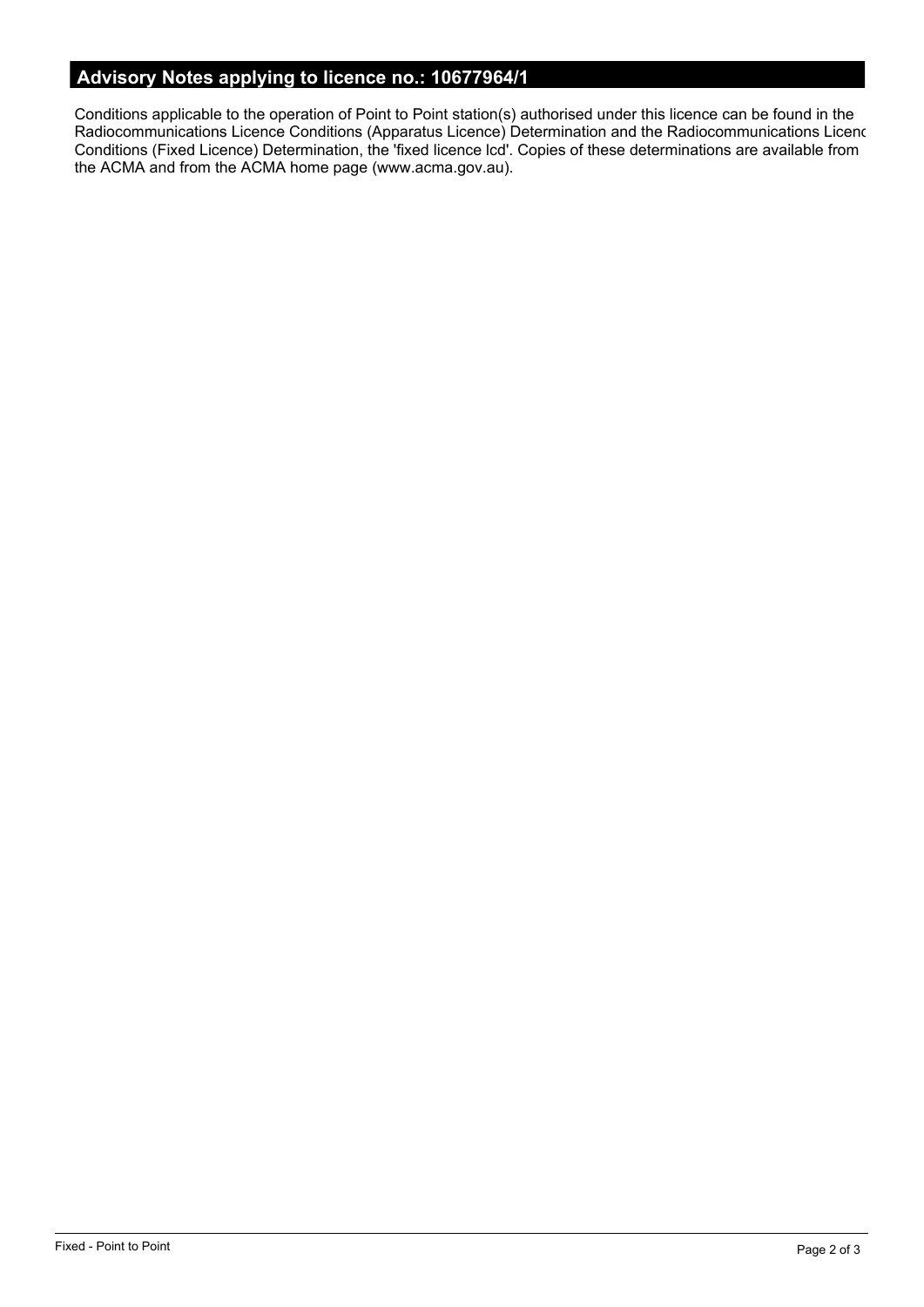# **Advisory Notes applying to licence no.: 10677964/1**

Conditions applicable to the operation of Point to Point station(s) authorised under this licence can be found in the Radiocommunications Licence Conditions (Apparatus Licence) Determination and the Radiocommunications Licence Conditions (Fixed Licence) Determination, the 'fixed licence lcd'. Copies of these determinations are available from the ACMA and from the ACMA home page (www.acma.gov.au).